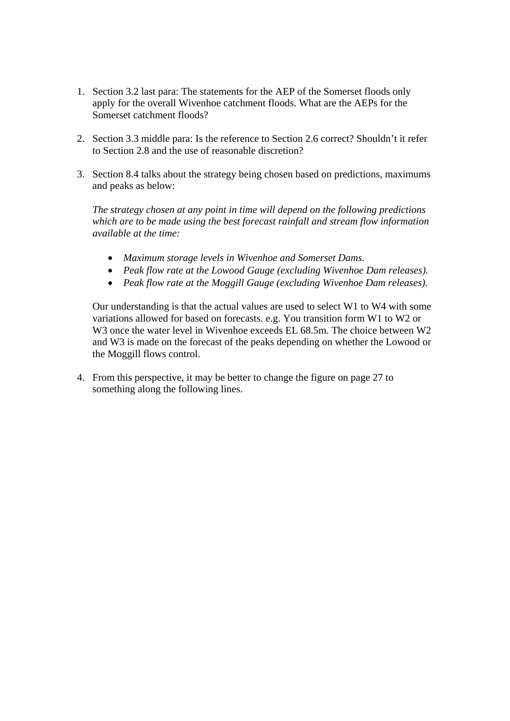- 1. Section 3.2 last para: The statements for the AEP of the Somerset floods only apply for the overall Wivenhoe catchment floods. What are the AEPs for the Somerset catchment floods?
- 2. Section 3.3 middle para: Is the reference to Section 2.6 correct? Shouldn't it refer to Section 2.8 and the use of reasonable discretion?
- 3. Section 8.4 talks about the strategy being chosen based on predictions, maximums and peaks as below:

*The strategy chosen at any point in time will depend on the following predictions which are to be made using the best forecast rainfall and stream flow information available at the time:* 

- *Maximum storage levels in Wivenhoe and Somerset Dams.*
- *Peak flow rate at the Lowood Gauge (excluding Wivenhoe Dam releases).*
- *Peak flow rate at the Moggill Gauge (excluding Wivenhoe Dam releases).*

Our understanding is that the actual values are used to select W1 to W4 with some variations allowed for based on forecasts. e.g. You transition form W1 to W2 or W3 once the water level in Wivenhoe exceeds EL 68.5m. The choice between W2 and W3 is made on the forecast of the peaks depending on whether the Lowood or the Moggill flows control.

4. From this perspective, it may be better to change the figure on page 27 to something along the following lines.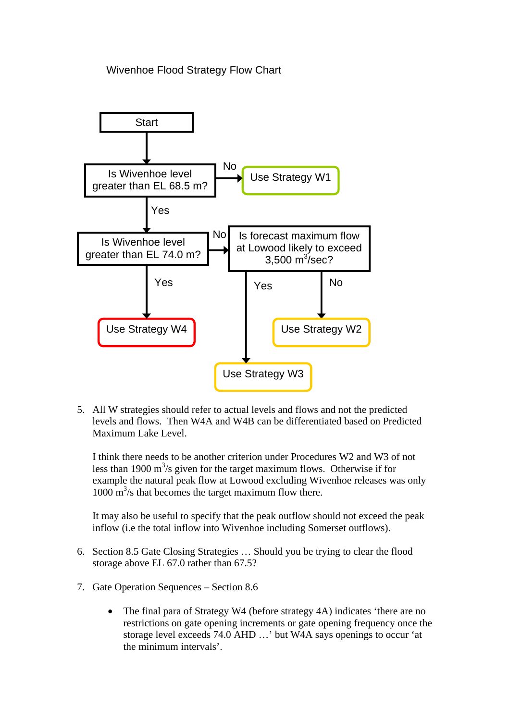## Wivenhoe Flood Strategy Flow Chart



5. All W strategies should refer to actual levels and flows and not the predicted levels and flows. Then W4A and W4B can be differentiated based on Predicted Maximum Lake Level.

I think there needs to be another criterion under Procedures W2 and W3 of not less than 1900  $\text{m}^3$ /s given for the target maximum flows. Otherwise if for example the natural peak flow at Lowood excluding Wivenhoe releases was only 1000 m<sup>3</sup>/s that becomes the target maximum flow there.

It may also be useful to specify that the peak outflow should not exceed the peak inflow (i.e the total inflow into Wivenhoe including Somerset outflows).

- 6. Section 8.5 Gate Closing Strategies … Should you be trying to clear the flood storage above EL 67.0 rather than 67.5?
- 7. Gate Operation Sequences Section 8.6
	- The final para of Strategy W4 (before strategy 4A) indicates 'there are no restrictions on gate opening increments or gate opening frequency once the storage level exceeds 74.0 AHD …' but W4A says openings to occur 'at the minimum intervals'.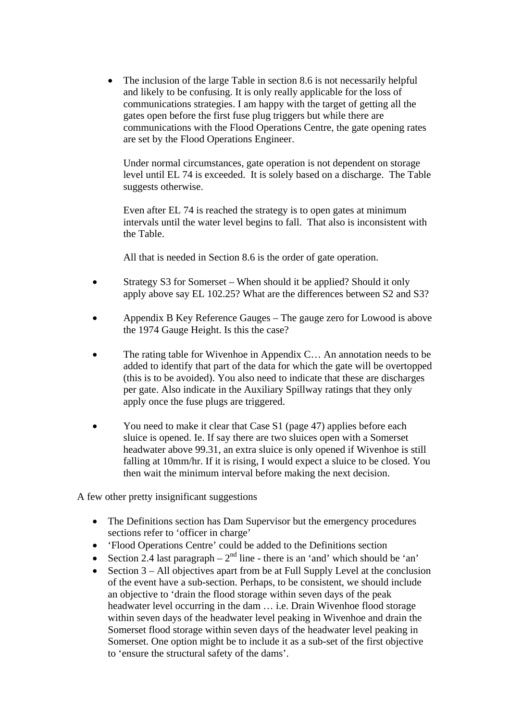The inclusion of the large Table in section 8.6 is not necessarily helpful and likely to be confusing. It is only really applicable for the loss of communications strategies. I am happy with the target of getting all the gates open before the first fuse plug triggers but while there are communications with the Flood Operations Centre, the gate opening rates are set by the Flood Operations Engineer.

Under normal circumstances, gate operation is not dependent on storage level until EL 74 is exceeded. It is solely based on a discharge. The Table suggests otherwise.

Even after EL 74 is reached the strategy is to open gates at minimum intervals until the water level begins to fall. That also is inconsistent with the Table.

All that is needed in Section 8.6 is the order of gate operation.

- Strategy S3 for Somerset When should it be applied? Should it only apply above say EL 102.25? What are the differences between S2 and S3?
- Appendix B Key Reference Gauges The gauge zero for Lowood is above the 1974 Gauge Height. Is this the case?
- The rating table for Wivenhoe in Appendix C… An annotation needs to be added to identify that part of the data for which the gate will be overtopped (this is to be avoided). You also need to indicate that these are discharges per gate. Also indicate in the Auxiliary Spillway ratings that they only apply once the fuse plugs are triggered.
- You need to make it clear that Case S1 (page 47) applies before each sluice is opened. Ie. If say there are two sluices open with a Somerset headwater above 99.31, an extra sluice is only opened if Wivenhoe is still falling at 10mm/hr. If it is rising, I would expect a sluice to be closed. You then wait the minimum interval before making the next decision.

A few other pretty insignificant suggestions

- The Definitions section has Dam Supervisor but the emergency procedures sections refer to 'officer in charge'
- 'Flood Operations Centre' could be added to the Definitions section
- Section 2.4 last paragraph  $2<sup>nd</sup>$  line there is an 'and' which should be 'an'
- Section  $3 All$  objectives apart from be at Full Supply Level at the conclusion of the event have a sub-section. Perhaps, to be consistent, we should include an objective to 'drain the flood storage within seven days of the peak headwater level occurring in the dam … i.e. Drain Wivenhoe flood storage within seven days of the headwater level peaking in Wivenhoe and drain the Somerset flood storage within seven days of the headwater level peaking in Somerset. One option might be to include it as a sub-set of the first objective to 'ensure the structural safety of the dams'.